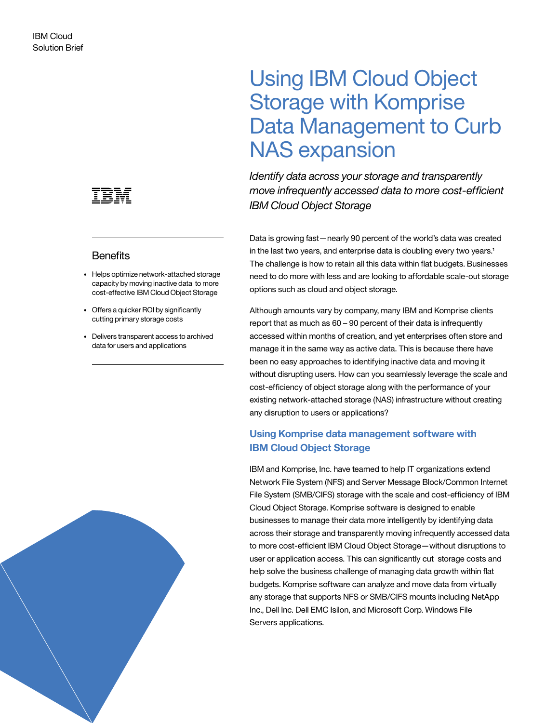

# **Benefits**

- Helps optimize network-attached storage capacity by moving inactive data to more cost-effective IBM Cloud Object Storage
- Offers a quicker ROI by significantly cutting primary storage costs
- Delivers transparent access to archived data for users and applications



*Identify data across your storage and transparently move infrequently accessed data to more cost-efficient IBM Cloud Object Storage* 

Data is growing fast—nearly 90 percent of the world's data was created in the last two years, and enterprise data is doubling every two years. $^1$ The challenge is how to retain all this data within flat budgets. Businesses need to do more with less and are looking to affordable scale-out storage options such as cloud and object storage.

Although amounts vary by company, many IBM and Komprise clients report that as much as 60 – 90 percent of their data is infrequently accessed within months of creation, and yet enterprises often store and manage it in the same way as active data. This is because there have been no easy approaches to identifying inactive data and moving it without disrupting users. How can you seamlessly leverage the scale and cost-efficiency of object storage along with the performance of your existing network-attached storage (NAS) infrastructure without creating any disruption to users or applications?

# **Using Komprise data management software with IBM Cloud Object Storage**

IBM and Komprise, Inc. have teamed to help IT organizations extend Network File System (NFS) and Server Message Block/Common Internet File System (SMB/CIFS) storage with the scale and cost-efficiency of IBM Cloud Object Storage. Komprise software is designed to enable businesses to manage their data more intelligently by identifying data across their storage and transparently moving infrequently accessed data to more cost-efficient IBM Cloud Object Storage—without disruptions to user or application access. This can significantly cut storage costs and help solve the business challenge of managing data growth within flat budgets. Komprise software can analyze and move data from virtually any storage that supports NFS or SMB/CIFS mounts including NetApp Inc., Dell Inc. Dell EMC Isilon, and Microsoft Corp. Windows File Servers applications.

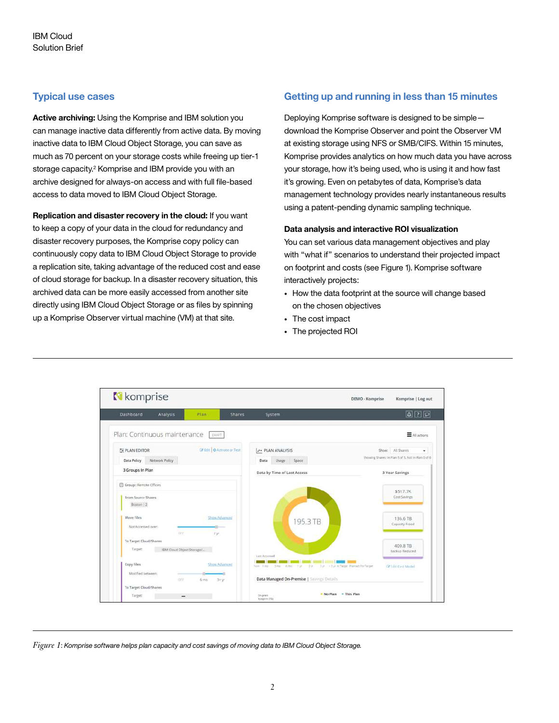# **Typical use cases**

**Active archiving:** Using the Komprise and IBM solution you can manage inactive data differently from active data. By moving inactive data to IBM Cloud Object Storage, you can save as much as 70 percent on your storage costs while freeing up tier-1 storage capacity.<sup>2</sup> Komprise and IBM provide you with an archive designed for always-on access and with full file-based access to data moved to IBM Cloud Object Storage.

**Replication and disaster recovery in the cloud:** If you want to keep a copy of your data in the cloud for redundancy and disaster recovery purposes, the Komprise copy policy can continuously copy data to IBM Cloud Object Storage to provide a replication site, taking advantage of the reduced cost and ease of cloud storage for backup. In a disaster recovery situation, this archived data can be more easily accessed from another site directly using IBM Cloud Object Storage or as files by spinning up a Komprise Observer virtual machine (VM) at that site.

# **Getting up and running in less than 15 minutes**

Deploying Komprise software is designed to be simple download the Komprise Observer and point the Observer VM at existing storage using NFS or SMB/CIFS. Within 15 minutes, Komprise provides analytics on how much data you have across your storage, how it's being used, who is using it and how fast it's growing. Even on petabytes of data, Komprise's data management technology provides nearly instantaneous results using a patent-pending dynamic sampling technique.

### **Data analysis and interactive ROI visualization**

You can set various data management objectives and play with "what if" scenarios to understand their projected impact on footprint and costs (see Figure 1). Komprise software interactively projects:

- How the data footprint at the source will change based on the chosen objectives
- The cost impact
- The projected ROI



*Figure 1*: *Komprise software helps plan capacity and cost savings of moving data to IBM Cloud Object Storage.*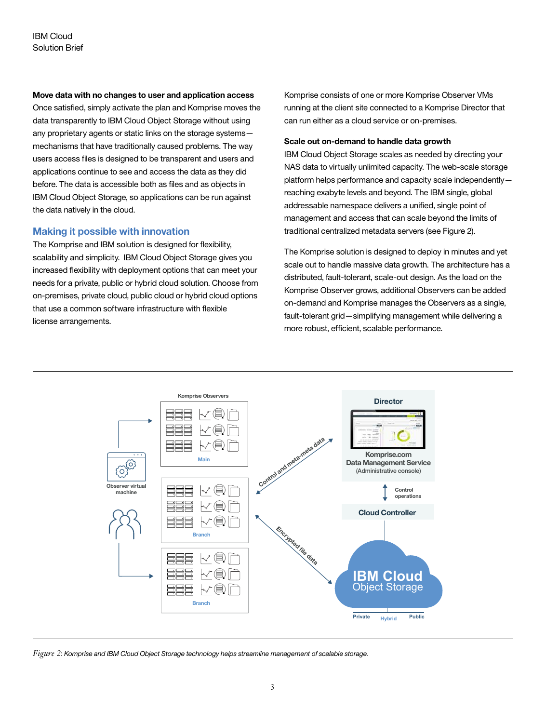### **Move data with no changes to user and application access**

Once satisfied, simply activate the plan and Komprise moves the data transparently to IBM Cloud Object Storage without using any proprietary agents or static links on the storage systems mechanisms that have traditionally caused problems. The way users access files is designed to be transparent and users and applications continue to see and access the data as they did before. The data is accessible both as files and as objects in IBM Cloud Object Storage, so applications can be run against the data natively in the cloud.

# **Making it possible with innovation**

The Komprise and IBM solution is designed for flexibility, scalability and simplicity. IBM Cloud Object Storage gives you increased flexibility with deployment options that can meet your needs for a private, public or hybrid cloud solution. Choose from on-premises, private cloud, public cloud or hybrid cloud options that use a common software infrastructure with flexible license arrangements.

Komprise consists of one or more Komprise Observer VMs running at the client site connected to a Komprise Director that can run either as a cloud service or on-premises.

#### **Scale out on-demand to handle data growth**

IBM Cloud Object Storage scales as needed by directing your NAS data to virtually unlimited capacity. The web-scale storage platform helps performance and capacity scale independently reaching exabyte levels and beyond. The IBM single, global addressable namespace delivers a unified, single point of management and access that can scale beyond the limits of traditional centralized metadata servers (see Figure 2).

The Komprise solution is designed to deploy in minutes and yet scale out to handle massive data growth. The architecture has a distributed, fault-tolerant, scale-out design. As the load on the Komprise Observer grows, additional Observers can be added on-demand and Komprise manages the Observers as a single, fault-tolerant grid—simplifying management while delivering a more robust, efficient, scalable performance.



*Figure 2*: *Komprise and IBM Cloud Object Storage technology helps streamline management of scalable storage.*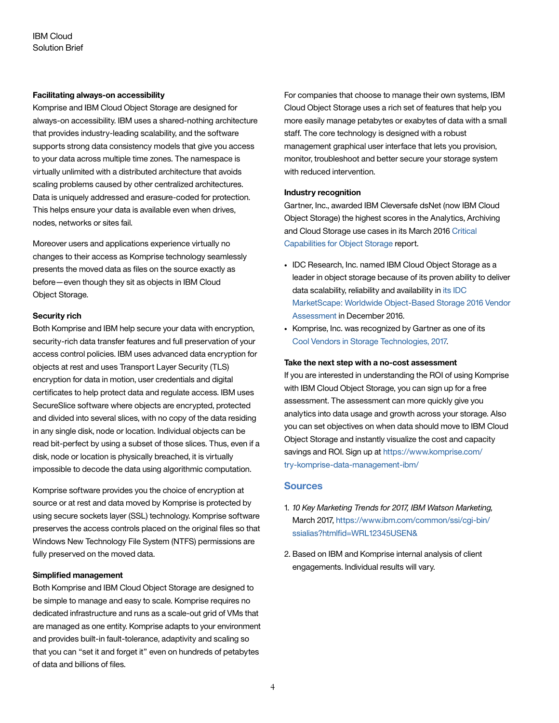# **Facilitating always-on accessibility**

Komprise and IBM Cloud Object Storage are designed for always-on accessibility. IBM uses a shared-nothing architecture that provides industry-leading scalability, and the software supports strong data consistency models that give you access to your data across multiple time zones. The namespace is virtually unlimited with a distributed architecture that avoids scaling problems caused by other centralized architectures. Data is uniquely addressed and erasure-coded for protection. This helps ensure your data is available even when drives, nodes, networks or sites fail.

Moreover users and applications experience virtually no changes to their access as Komprise technology seamlessly presents the moved data as files on the source exactly as before—even though they sit as objects in IBM Cloud Object Storage.

## **Security rich**

Both Komprise and IBM help secure your data with encryption, security-rich data transfer features and full preservation of your access control policies. IBM uses advanced data encryption for objects at rest and uses Transport Layer Security (TLS) encryption for data in motion, user credentials and digital certificates to help protect data and regulate access. IBM uses SecureSlice software where objects are encrypted, protected and divided into several slices, with no copy of the data residing in any single disk, node or location. Individual objects can be read bit-perfect by using a subset of those slices. Thus, even if a disk, node or location is physically breached, it is virtually impossible to decode the data using algorithmic computation.

Komprise software provides you the choice of encryption at source or at rest and data moved by Komprise is protected by using secure sockets layer (SSL) technology. Komprise software preserves the access controls placed on the original files so that Windows New Technology File System (NTFS) permissions are fully preserved on the moved data.

## **Simplified management**

Both Komprise and IBM Cloud Object Storage are designed to be simple to manage and easy to scale. Komprise requires no dedicated infrastructure and runs as a scale-out grid of VMs that are managed as one entity. Komprise adapts to your environment and provides built-in fault-tolerance, adaptivity and scaling so that you can "set it and forget it" even on hundreds of petabytes of data and billions of files.

For companies that choose to manage their own systems, IBM Cloud Object Storage uses a rich set of features that help you more easily manage petabytes or exabytes of data with a small staff. The core technology is designed with a robust management graphical user interface that lets you provision, monitor, troubleshoot and better secure your storage system with reduced intervention.

### **Industry recognition**

Gartner, Inc., awarded IBM Cleversafe dsNet (now IBM Cloud Object Storage) the highest scores in the Analytics, Archiving and Cloud Storage use cases in its March 2016 [Critical](https://www.gartner.com/doc/reprints?ct=160413&id=1-33E2S6I&st=sb)  [Capabilities for Object Storage](https://www.gartner.com/doc/reprints?ct=160413&id=1-33E2S6I&st=sb) report.

- IDC Research, Inc. named IBM Cloud Object Storage as a leader in object storage because of its proven ability to deliver data scalability, reliability and availability in [its IDC](https://www.tectrade.nl/wp-content/uploads/2016/10/WUL12381USEN.pdf)  [MarketScape: Worldwide Object-Based Storage 2016 Vendor](https://www.tectrade.nl/wp-content/uploads/2016/10/WUL12381USEN.pdf)  [Assessment](https://www.tectrade.nl/wp-content/uploads/2016/10/WUL12381USEN.pdf) in December 2016.
- Komprise, Inc. was recognized by Gartner as one of its [Cool Vendors in Storage Technologies, 2017](https://www.komprise.com/komprise-recognized-2017-cool-vendor-storage-technologies-gartner/).

#### **Take the next step with a no-cost assessment**

If you are interested in understanding the ROI of using Komprise with IBM Cloud Object Storage, you can sign up for a free assessment. The assessment can more quickly give you analytics into data usage and growth across your storage. Also you can set objectives on when data should move to IBM Cloud Object Storage and instantly visualize the cost and capacity savings and ROI. Sign up at [https://www.komprise.com/](https://www.komprise.com/try-komprise-data-management-ibm/) [try-komprise-data-management-ibm/](https://www.komprise.com/try-komprise-data-management-ibm/)

# **Sources**

- 1. *10 Key Marketing Trends for 2017, IBM Watson Marketing,*  March 2017, [https://www.ibm.com/common/ssi/cgi-bin/](https://www-01.ibm.com/common/ssi/cgi-bin/ssialias?htmlfid=WRL12345USEN&) [ssialias?htmlfid=WRL12345USEN&](https://www-01.ibm.com/common/ssi/cgi-bin/ssialias?htmlfid=WRL12345USEN&)
- 2. Based on IBM and Komprise internal analysis of client engagements. Individual results will vary.